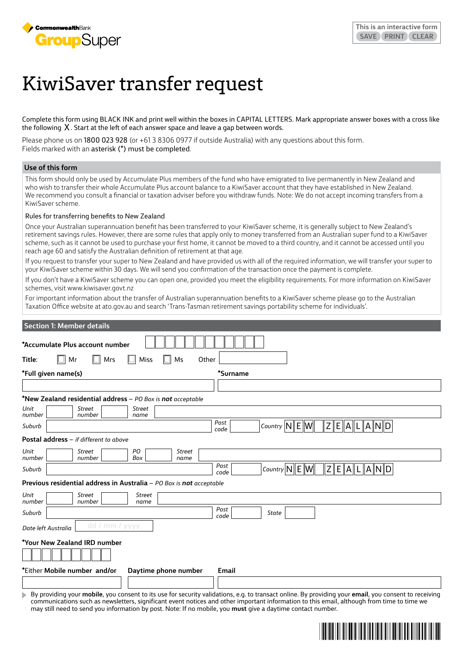

# KiwiSaver transfer request

Complete this form using BLACK INK and print well within the boxes in CAPITAL LETTERS. Mark appropriate answer boxes with a cross like the following  $X$ . Start at the left of each answer space and leave a gap between words.

Please phone us on 1800 023 928 (or +61 3 8306 0977 if outside Australia) with any questions about this form. Fields marked with an asterisk (\*) must be completed.

## **Use of this form**

This form should only be used by Accumulate Plus members of the fund who have emigrated to live permanently in New Zealand and who wish to transfer their whole Accumulate Plus account balance to a KiwiSaver account that they have established in New Zealand. We recommend you consult a financial or taxation adviser before you withdraw funds. Note: We do not accept incoming transfers from a KiwiSaver scheme.

#### Rules for transferring benefits to New Zealand

Once your Australian superannuation benefit has been transferred to your KiwiSaver scheme, it is generally subject to New Zealand's retirement savings rules. However, there are some rules that apply only to money transferred from an Australian super fund to a KiwiSaver scheme, such as it cannot be used to purchase your first home, it cannot be moved to a third country, and it cannot be accessed until you reach age 60 and satisfy the Australian definition of retirement at that age.

If you request to transfer your super to New Zealand and have provided us with all of the required information, we will transfer your super to your KiwiSaver scheme within 30 days. We will send you confirmation of the transaction once the payment is complete.

If you don't have a KiwiSaver scheme you can open one, provided you meet the eligibility requirements. For more information on KiwiSaver schemes, visit [www.kiwisaver.govt.nz](http://www.kiwisaver.govt.nz)

For important information about the transfer of Australian superannuation benefits to a KiwiSaver scheme please go to the Australian Taxation Office website at ato.gov.au and search 'Trans-Tasman retirement savings portability scheme for individuals'.

| <b>Section 1: Member details</b>                                                |                                                                                                                                                                   |
|---------------------------------------------------------------------------------|-------------------------------------------------------------------------------------------------------------------------------------------------------------------|
| *Accumulate Plus account number                                                 |                                                                                                                                                                   |
| Mr<br>Mrs<br>Title:<br>Miss<br>Other<br>Ms<br>Ш                                 |                                                                                                                                                                   |
| *Full given name(s)                                                             | *Surname                                                                                                                                                          |
|                                                                                 |                                                                                                                                                                   |
| *New Zealand residential address - PO Box is not acceptable                     |                                                                                                                                                                   |
| Unit<br><b>Street</b><br><b>Street</b><br>number<br>number<br>name              |                                                                                                                                                                   |
| Suburb                                                                          | Post<br> Z <br>Country $\left \mathsf{N}\right $ E $\left \mathsf{W}\right $<br>$\mathsf E$<br>$\ A\ $<br>$ {\mathsf A} \ {\mathsf N}\ {\mathsf D} $<br>L<br>code |
| Postal address - if different to above                                          |                                                                                                                                                                   |
| Unit<br>PO<br><b>Street</b><br><b>Street</b><br>number<br>number<br>Box<br>name |                                                                                                                                                                   |
| Suburb                                                                          | Post<br> Z <br>$E\ A\ L\ A\ N\ D\ $<br>Country $\ N\ E\ W\ $<br>code                                                                                              |
| Previous residential address in Australia - PO Box is not acceptable            |                                                                                                                                                                   |
| Unit<br><b>Street</b><br><b>Street</b><br>number<br>number<br>name              |                                                                                                                                                                   |
| Suburb                                                                          | Post<br>State<br>code                                                                                                                                             |
| dd / mm / yyyy<br>Date left Australia                                           |                                                                                                                                                                   |
| *Your New Zealand IRD number                                                    |                                                                                                                                                                   |
| *Either Mobile number and/or<br>Daytime phone number                            | Email                                                                                                                                                             |
|                                                                                 | By providing your <b>mobile</b> you consent to its use for security validations e.g. to transact online. By providing your <b>email</b> you consent to receiving  |

By providing your **mobile**, you consent to its use for security validations, e.g. to transact online. By providing your **email**, you consent to receiving communications such as newsletters, significant event notices and other important information to this email, although from time to time we may still need to send you information by post. Note: If no mobile, you **must** give a daytime contact number.

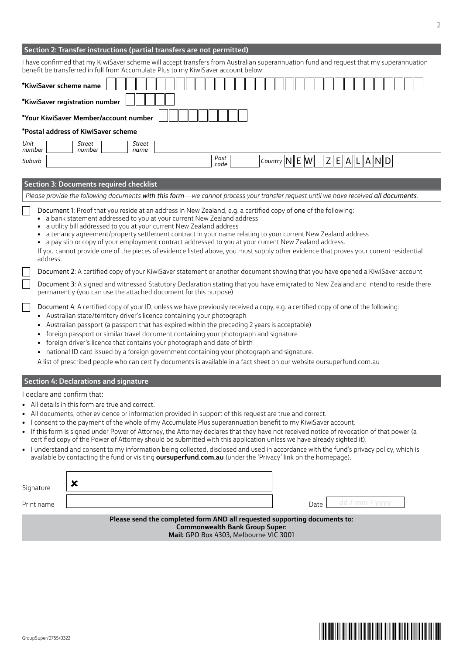| Section 2: Transfer instructions (partial transfers are not permitted) |  |
|------------------------------------------------------------------------|--|
|------------------------------------------------------------------------|--|

|            | I have confirmed that my KiwiSaver scheme will accept transfers from Australian superannuation fund and request that my superannuation<br>benefit be transferred in full from Accumulate Plus to my KiwiSaver account below:                                                                                                                                                                                                                                                                                                                                                                                                                                                                                                                                                                                                          |  |        |  |  |      |  |  |  |                                                                   |      |  |                              |                |           |  |  |
|------------|---------------------------------------------------------------------------------------------------------------------------------------------------------------------------------------------------------------------------------------------------------------------------------------------------------------------------------------------------------------------------------------------------------------------------------------------------------------------------------------------------------------------------------------------------------------------------------------------------------------------------------------------------------------------------------------------------------------------------------------------------------------------------------------------------------------------------------------|--|--------|--|--|------|--|--|--|-------------------------------------------------------------------|------|--|------------------------------|----------------|-----------|--|--|
|            | *KiwiSaver scheme name                                                                                                                                                                                                                                                                                                                                                                                                                                                                                                                                                                                                                                                                                                                                                                                                                |  |        |  |  |      |  |  |  |                                                                   |      |  |                              |                |           |  |  |
|            | *KiwiSaver registration number<br>*Your KiwiSaver Member/account number                                                                                                                                                                                                                                                                                                                                                                                                                                                                                                                                                                                                                                                                                                                                                               |  |        |  |  |      |  |  |  |                                                                   |      |  |                              |                |           |  |  |
|            | *Postal address of KiwiSaver scheme                                                                                                                                                                                                                                                                                                                                                                                                                                                                                                                                                                                                                                                                                                                                                                                                   |  |        |  |  |      |  |  |  |                                                                   |      |  |                              |                |           |  |  |
| Unit       | Street                                                                                                                                                                                                                                                                                                                                                                                                                                                                                                                                                                                                                                                                                                                                                                                                                                |  | Street |  |  |      |  |  |  |                                                                   |      |  |                              |                |           |  |  |
| number     | number                                                                                                                                                                                                                                                                                                                                                                                                                                                                                                                                                                                                                                                                                                                                                                                                                                |  | name   |  |  | Post |  |  |  |                                                                   |      |  |                              |                |           |  |  |
| Suburb     |                                                                                                                                                                                                                                                                                                                                                                                                                                                                                                                                                                                                                                                                                                                                                                                                                                       |  |        |  |  | code |  |  |  | Country $\left  N \right  \mathsf{E} \left\  \mathsf{W} \right\ $ |      |  | $Z\mathbf{E}$ A $\mathbf{L}$ |                | $A\ N\ D$ |  |  |
|            | <b>Section 3: Documents required checklist</b>                                                                                                                                                                                                                                                                                                                                                                                                                                                                                                                                                                                                                                                                                                                                                                                        |  |        |  |  |      |  |  |  |                                                                   |      |  |                              |                |           |  |  |
|            | Please provide the following documents with this form-we cannot process your transfer request until we have received all documents.                                                                                                                                                                                                                                                                                                                                                                                                                                                                                                                                                                                                                                                                                                   |  |        |  |  |      |  |  |  |                                                                   |      |  |                              |                |           |  |  |
| address.   | Document 1: Proof that you reside at an address in New Zealand, e.g. a certified copy of one of the following:<br>• a bank statement addressed to you at your current New Zealand address<br>a utility bill addressed to you at your current New Zealand address<br>a tenancy agreement/property settlement contract in your name relating to your current New Zealand address<br>• a pay slip or copy of your employment contract addressed to you at your current New Zealand address.<br>If you cannot provide one of the pieces of evidence listed above, you must supply other evidence that proves your current residential                                                                                                                                                                                                     |  |        |  |  |      |  |  |  |                                                                   |      |  |                              |                |           |  |  |
|            | Document 2: A certified copy of your KiwiSaver statement or another document showing that you have opened a KiwiSaver account                                                                                                                                                                                                                                                                                                                                                                                                                                                                                                                                                                                                                                                                                                         |  |        |  |  |      |  |  |  |                                                                   |      |  |                              |                |           |  |  |
|            | Document 3: A signed and witnessed Statutory Declaration stating that you have emigrated to New Zealand and intend to reside there<br>permanently (you can use the attached document for this purpose)                                                                                                                                                                                                                                                                                                                                                                                                                                                                                                                                                                                                                                |  |        |  |  |      |  |  |  |                                                                   |      |  |                              |                |           |  |  |
|            | Document 4: A certified copy of your ID, unless we have previously received a copy, e.g. a certified copy of one of the following:<br>• Australian state/territory driver's licence containing your photograph<br>Australian passport (a passport that has expired within the preceding 2 years is acceptable)<br>foreign passport or similar travel document containing your photograph and signature<br>foreign driver's licence that contains your photograph and date of birth<br>• national ID card issued by a foreign government containing your photograph and signature.<br>A list of prescribed people who can certify documents is available in a fact sheet on our website oursuperfund.com.au                                                                                                                            |  |        |  |  |      |  |  |  |                                                                   |      |  |                              |                |           |  |  |
|            | <b>Section 4: Declarations and signature</b>                                                                                                                                                                                                                                                                                                                                                                                                                                                                                                                                                                                                                                                                                                                                                                                          |  |        |  |  |      |  |  |  |                                                                   |      |  |                              |                |           |  |  |
|            | I declare and confirm that:<br>All details in this form are true and correct.<br>All documents, other evidence or information provided in support of this request are true and correct.<br>I consent to the payment of the whole of my Accumulate Plus superannuation benefit to my KiwiSaver account.<br>If this form is signed under Power of Attorney, the Attorney declares that they have not received notice of revocation of that power (a<br>certified copy of the Power of Attorney should be submitted with this application unless we have already sighted it).<br>• I understand and consent to my information being collected, disclosed and used in accordance with the fund's privacy policy, which is<br>available by contacting the fund or visiting oursuperfund.com.au (under the 'Privacy' link on the homepage). |  |        |  |  |      |  |  |  |                                                                   |      |  |                              |                |           |  |  |
| Signature  | ×                                                                                                                                                                                                                                                                                                                                                                                                                                                                                                                                                                                                                                                                                                                                                                                                                                     |  |        |  |  |      |  |  |  |                                                                   |      |  |                              |                |           |  |  |
| Print name |                                                                                                                                                                                                                                                                                                                                                                                                                                                                                                                                                                                                                                                                                                                                                                                                                                       |  |        |  |  |      |  |  |  |                                                                   | Date |  |                              | dd / mm / yyyy |           |  |  |

**Please send the completed form AND all requested supporting documents to: Commonwealth Bank Group Super: Mail:** GPO Box 4303, Melbourne VIC 3001

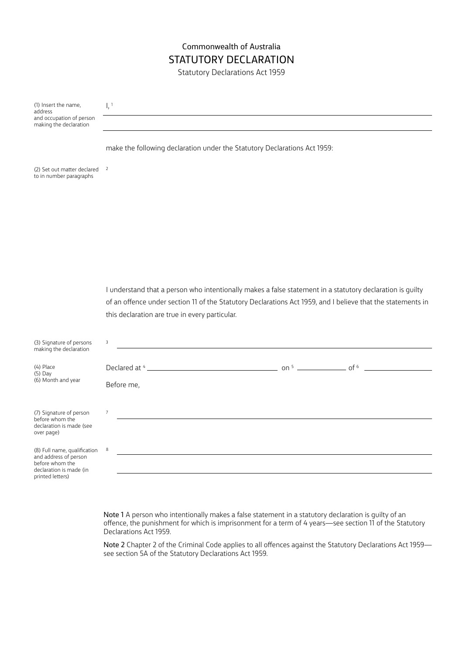# Commonwealth of Australia STATUTORY DECLARATION

Statutory Declarations Act 1959

(1) Insert the name, address and occupation of person making the declaration

 $1, 1$ 

make the following declaration under the Statutory Declarations Act 1959: (2) Set out matter declared 2 to in number paragraphs I understand that a person who intentionally makes a false statement in a statutory declaration is guilty of an offence under section 11 of the Statutory Declarations Act 1959, and I believe that the statements in this declaration are true in every particular. (3) Signature of persons making the declaration 3 (6) Month and year Declared at  $4$  <u>constants and  $\frac{1}{2}$  on  $\frac{1}{2}$  on  $\frac{1}{2}$  on  $\frac{1}{2}$  of  $\frac{1}{2}$  of  $\frac{1}{2}$  of  $\frac{1}{2}$ </u> Before me, (7) Signature of person before whom the declaration is made (see over page) 7 (8) Full name, qualification 8

and address of person before whom the declaration is made (in printed letters)

(4) Place (5) Day

> Note 1 A person who intentionally makes a false statement in a statutory declaration is guilty of an offence, the punishment for which is imprisonment for a term of 4 years—see section 11 of the Statutory Declarations Act 1959.

Note 2 Chapter 2 of the Criminal Code applies to all offences against the Statutory Declarations Act 1959 see section 5A of the Statutory Declarations Act 1959.